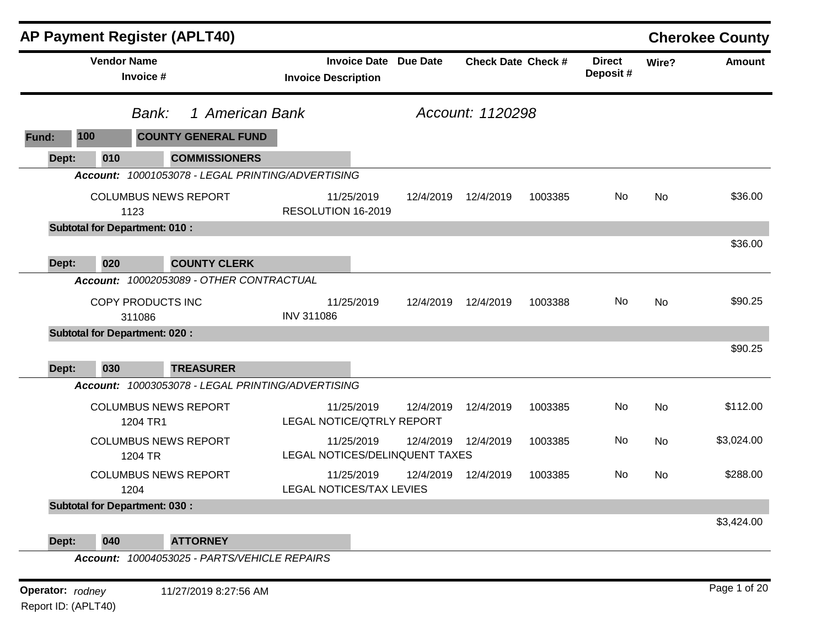|                  |                                                | <b>AP Payment Register (APLT40)</b>               |                   |                                                   |                 |                           |         |                           |       | <b>Cherokee County</b> |
|------------------|------------------------------------------------|---------------------------------------------------|-------------------|---------------------------------------------------|-----------------|---------------------------|---------|---------------------------|-------|------------------------|
|                  | <b>Vendor Name</b><br>Invoice #                |                                                   |                   | <b>Invoice Date</b><br><b>Invoice Description</b> | <b>Due Date</b> | <b>Check Date Check #</b> |         | <b>Direct</b><br>Deposit# | Wire? | <b>Amount</b>          |
|                  | Bank:                                          | 1 American Bank                                   |                   |                                                   |                 | Account: 1120298          |         |                           |       |                        |
| 100<br>Fund:     |                                                | <b>COUNTY GENERAL FUND</b>                        |                   |                                                   |                 |                           |         |                           |       |                        |
| Dept:            | 010                                            | <b>COMMISSIONERS</b>                              |                   |                                                   |                 |                           |         |                           |       |                        |
|                  |                                                | Account: 10001053078 - LEGAL PRINTING/ADVERTISING |                   |                                                   |                 |                           |         |                           |       |                        |
|                  | 1123                                           | <b>COLUMBUS NEWS REPORT</b>                       |                   | 11/25/2019<br>RESOLUTION 16-2019                  | 12/4/2019       | 12/4/2019                 | 1003385 | No                        | No    | \$36.00                |
|                  | <b>Subtotal for Department: 010:</b>           |                                                   |                   |                                                   |                 |                           |         |                           |       |                        |
|                  |                                                |                                                   |                   |                                                   |                 |                           |         |                           |       | \$36.00                |
| Dept:            | 020                                            | <b>COUNTY CLERK</b>                               |                   |                                                   |                 |                           |         |                           |       |                        |
| Account:         |                                                | 10002053089 - OTHER CONTRACTUAL                   |                   |                                                   |                 |                           |         |                           |       |                        |
|                  | COPY PRODUCTS INC                              |                                                   |                   | 11/25/2019                                        | 12/4/2019       | 12/4/2019                 | 1003388 | No                        | No    | \$90.25                |
|                  | 311086<br><b>Subtotal for Department: 020:</b> |                                                   | <b>INV 311086</b> |                                                   |                 |                           |         |                           |       |                        |
|                  |                                                |                                                   |                   |                                                   |                 |                           |         |                           |       | \$90.25                |
| Dept:            | 030                                            | <b>TREASURER</b>                                  |                   |                                                   |                 |                           |         |                           |       |                        |
|                  |                                                | Account: 10003053078 - LEGAL PRINTING/ADVERTISING |                   |                                                   |                 |                           |         |                           |       |                        |
|                  | 1204 TR1                                       | <b>COLUMBUS NEWS REPORT</b>                       |                   | 11/25/2019<br><b>LEGAL NOTICE/QTRLY REPORT</b>    | 12/4/2019       | 12/4/2019                 | 1003385 | No                        | No    | \$112.00               |
|                  | 1204 TR                                        | <b>COLUMBUS NEWS REPORT</b>                       |                   | 11/25/2019<br>LEGAL NOTICES/DELINQUENT TAXES      | 12/4/2019       | 12/4/2019                 | 1003385 | No                        | No    | \$3,024.00             |
|                  | 1204                                           | <b>COLUMBUS NEWS REPORT</b>                       |                   | 11/25/2019<br><b>LEGAL NOTICES/TAX LEVIES</b>     | 12/4/2019       | 12/4/2019                 | 1003385 | No                        | No    | \$288.00               |
|                  | <b>Subtotal for Department: 030:</b>           |                                                   |                   |                                                   |                 |                           |         |                           |       |                        |
|                  |                                                |                                                   |                   |                                                   |                 |                           |         |                           |       | \$3,424.00             |
| Dept:            | 040                                            | <b>ATTORNEY</b>                                   |                   |                                                   |                 |                           |         |                           |       |                        |
|                  |                                                | Account: 10004053025 - PARTS/VEHICLE REPAIRS      |                   |                                                   |                 |                           |         |                           |       |                        |
| Operator: rodney |                                                | 11/27/2019 8:27:56 AM                             |                   |                                                   |                 |                           |         |                           |       | Page 1 of 20           |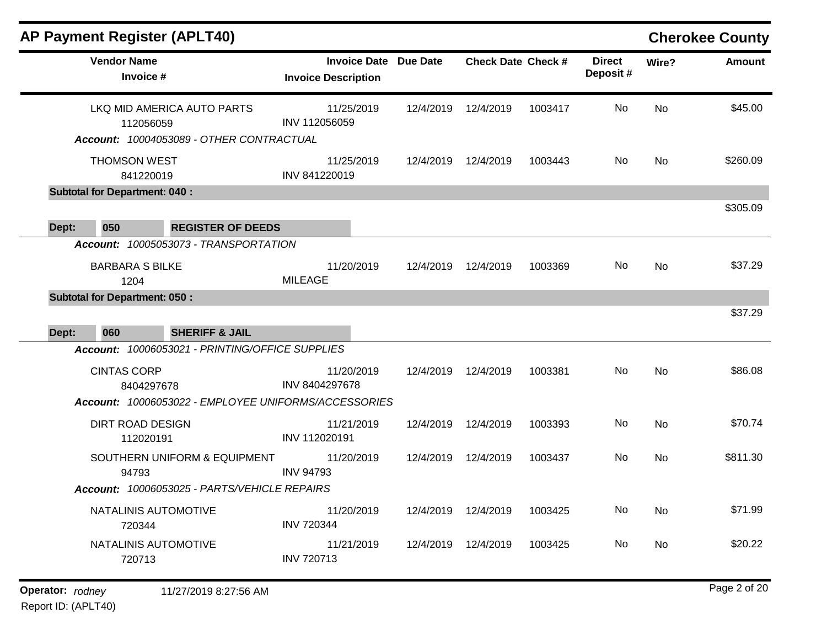|       | <b>AP Payment Register (APLT40)</b>                                      |                                                                        |                                                   |                 |                           |         |                            |           | <b>Cherokee County</b> |
|-------|--------------------------------------------------------------------------|------------------------------------------------------------------------|---------------------------------------------------|-----------------|---------------------------|---------|----------------------------|-----------|------------------------|
|       | <b>Vendor Name</b><br>Invoice #                                          |                                                                        | <b>Invoice Date</b><br><b>Invoice Description</b> | <b>Due Date</b> | <b>Check Date Check #</b> |         | <b>Direct</b><br>Deposit # | Wire?     | <b>Amount</b>          |
|       | 112056059                                                                | LKQ MID AMERICA AUTO PARTS<br>Account: 10004053089 - OTHER CONTRACTUAL | 11/25/2019<br>INV 112056059                       | 12/4/2019       | 12/4/2019                 | 1003417 | No                         | <b>No</b> | \$45.00                |
|       | <b>THOMSON WEST</b><br>841220019<br><b>Subtotal for Department: 040:</b> |                                                                        | 11/25/2019<br>INV 841220019                       | 12/4/2019       | 12/4/2019                 | 1003443 | No                         | No        | \$260.09               |
|       |                                                                          |                                                                        |                                                   |                 |                           |         |                            |           | \$305.09               |
| Dept: | 050                                                                      | <b>REGISTER OF DEEDS</b>                                               |                                                   |                 |                           |         |                            |           |                        |
|       |                                                                          | Account: 10005053073 - TRANSPORTATION                                  |                                                   |                 |                           |         |                            |           |                        |
|       | <b>BARBARA S BILKE</b><br>1204                                           |                                                                        | 11/20/2019<br><b>MILEAGE</b>                      | 12/4/2019       | 12/4/2019                 | 1003369 | No                         | <b>No</b> | \$37.29                |
|       | <b>Subtotal for Department: 050:</b>                                     |                                                                        |                                                   |                 |                           |         |                            |           |                        |
| Dept: | 060                                                                      | <b>SHERIFF &amp; JAIL</b>                                              |                                                   |                 |                           |         |                            |           | \$37.29                |
|       |                                                                          | Account: 10006053021 - PRINTING/OFFICE SUPPLIES                        |                                                   |                 |                           |         |                            |           |                        |
|       | <b>CINTAS CORP</b><br>8404297678                                         |                                                                        | 11/20/2019<br>INV 8404297678                      | 12/4/2019       | 12/4/2019                 | 1003381 | No                         | No        | \$86.08                |
|       |                                                                          | Account: 10006053022 - EMPLOYEE UNIFORMS/ACCESSORIES                   |                                                   |                 |                           |         |                            |           |                        |
|       | <b>DIRT ROAD DESIGN</b><br>112020191                                     |                                                                        | 11/21/2019<br>INV 112020191                       | 12/4/2019       | 12/4/2019                 | 1003393 | No                         | No        | \$70.74                |
|       | 94793                                                                    | SOUTHERN UNIFORM & EQUIPMENT                                           | 11/20/2019<br><b>INV 94793</b>                    | 12/4/2019       | 12/4/2019                 | 1003437 | No                         | No        | \$811.30               |
|       |                                                                          | Account: 10006053025 - PARTS/VEHICLE REPAIRS                           |                                                   |                 |                           |         |                            |           |                        |
|       | NATALINIS AUTOMOTIVE<br>720344                                           |                                                                        | 11/20/2019<br><b>INV 720344</b>                   |                 | 12/4/2019 12/4/2019       | 1003425 | No                         | No        | \$71.99                |
|       | NATALINIS AUTOMOTIVE<br>720713                                           |                                                                        | 11/21/2019<br>INV 720713                          |                 | 12/4/2019  12/4/2019      | 1003425 | No                         | No        | \$20.22                |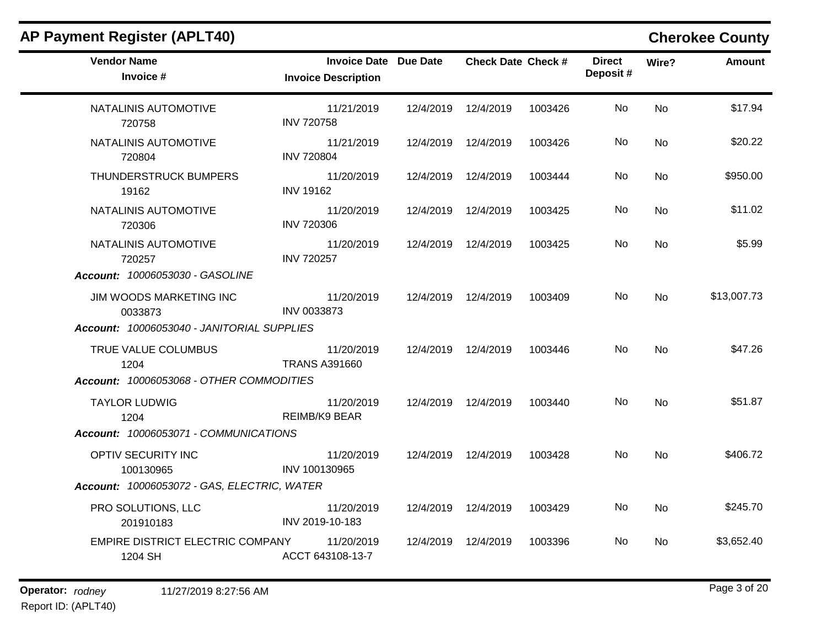|                                    |                                                                                                                                                                                                                    |                              |                                                                                                                                                                                                                                                                  |                           |           | <b>Cherokee County</b> |
|------------------------------------|--------------------------------------------------------------------------------------------------------------------------------------------------------------------------------------------------------------------|------------------------------|------------------------------------------------------------------------------------------------------------------------------------------------------------------------------------------------------------------------------------------------------------------|---------------------------|-----------|------------------------|
| <b>Invoice Description</b>         |                                                                                                                                                                                                                    |                              |                                                                                                                                                                                                                                                                  | <b>Direct</b><br>Deposit# | Wire?     | Amount                 |
| 11/21/2019<br><b>INV 720758</b>    |                                                                                                                                                                                                                    |                              | 1003426                                                                                                                                                                                                                                                          | No                        | <b>No</b> | \$17.94                |
| 11/21/2019<br><b>INV 720804</b>    |                                                                                                                                                                                                                    |                              | 1003426                                                                                                                                                                                                                                                          | No.                       | No.       | \$20.22                |
| 11/20/2019<br><b>INV 19162</b>     |                                                                                                                                                                                                                    |                              | 1003444                                                                                                                                                                                                                                                          | No                        | No        | \$950.00               |
| 11/20/2019<br><b>INV 720306</b>    |                                                                                                                                                                                                                    |                              | 1003425                                                                                                                                                                                                                                                          | No                        | No        | \$11.02                |
| 11/20/2019<br><b>INV 720257</b>    |                                                                                                                                                                                                                    |                              | 1003425                                                                                                                                                                                                                                                          | No.                       | <b>No</b> | \$5.99                 |
|                                    |                                                                                                                                                                                                                    |                              |                                                                                                                                                                                                                                                                  |                           |           |                        |
| 11/20/2019<br><b>INV 0033873</b>   |                                                                                                                                                                                                                    |                              | 1003409                                                                                                                                                                                                                                                          | No.                       | No.       | \$13,007.73            |
|                                    |                                                                                                                                                                                                                    |                              |                                                                                                                                                                                                                                                                  |                           |           |                        |
| 11/20/2019<br><b>TRANS A391660</b> |                                                                                                                                                                                                                    |                              | 1003446                                                                                                                                                                                                                                                          | No.                       | <b>No</b> | \$47.26                |
|                                    |                                                                                                                                                                                                                    |                              |                                                                                                                                                                                                                                                                  |                           |           |                        |
| 11/20/2019<br><b>REIMB/K9 BEAR</b> |                                                                                                                                                                                                                    |                              | 1003440                                                                                                                                                                                                                                                          | No.                       | <b>No</b> | \$51.87                |
|                                    |                                                                                                                                                                                                                    |                              |                                                                                                                                                                                                                                                                  |                           |           |                        |
| 11/20/2019<br>INV 100130965        |                                                                                                                                                                                                                    |                              | 1003428                                                                                                                                                                                                                                                          | No.                       | <b>No</b> | \$406.72               |
|                                    |                                                                                                                                                                                                                    |                              |                                                                                                                                                                                                                                                                  |                           |           |                        |
| 11/20/2019<br>INV 2019-10-183      |                                                                                                                                                                                                                    |                              | 1003429                                                                                                                                                                                                                                                          | No.                       | <b>No</b> | \$245.70               |
| 11/20/2019<br>ACCT 643108-13-7     |                                                                                                                                                                                                                    |                              | 1003396                                                                                                                                                                                                                                                          | No.                       | No        | \$3,652.40             |
|                                    | Account: 10006053040 - JANITORIAL SUPPLIES<br>Account: 10006053068 - OTHER COMMODITIES<br>Account: 10006053071 - COMMUNICATIONS<br>Account: 10006053072 - GAS, ELECTRIC, WATER<br>EMPIRE DISTRICT ELECTRIC COMPANY | <b>Invoice Date Due Date</b> | 12/4/2019  12/4/2019<br>12/4/2019  12/4/2019<br>12/4/2019  12/4/2019<br>12/4/2019 12/4/2019<br>12/4/2019  12/4/2019<br>12/4/2019 12/4/2019<br>12/4/2019 12/4/2019<br>12/4/2019  12/4/2019<br>12/4/2019 12/4/2019<br>12/4/2019  12/4/2019<br>12/4/2019  12/4/2019 | <b>Check Date Check #</b> |           |                        |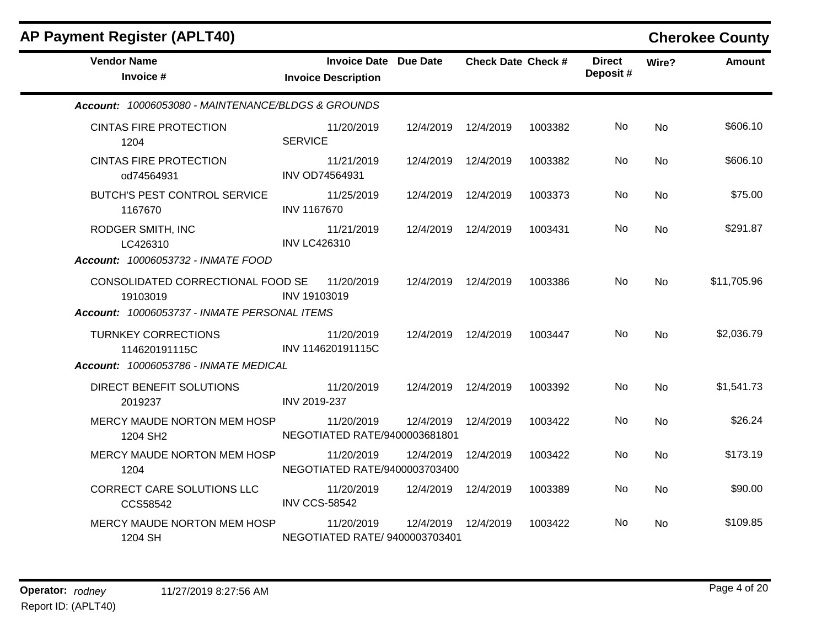| <b>AP Payment Register (APLT40)</b>                                                           |                                                            |                     |                           |         |                           |           | <b>Cherokee County</b> |
|-----------------------------------------------------------------------------------------------|------------------------------------------------------------|---------------------|---------------------------|---------|---------------------------|-----------|------------------------|
| <b>Vendor Name</b><br>Invoice #                                                               | <b>Invoice Date Due Date</b><br><b>Invoice Description</b> |                     | <b>Check Date Check #</b> |         | <b>Direct</b><br>Deposit# | Wire?     | <b>Amount</b>          |
| Account: 10006053080 - MAINTENANCE/BLDGS & GROUNDS                                            |                                                            |                     |                           |         |                           |           |                        |
| <b>CINTAS FIRE PROTECTION</b><br>1204                                                         | 11/20/2019<br><b>SERVICE</b>                               | 12/4/2019 12/4/2019 |                           | 1003382 | No.                       | <b>No</b> | \$606.10               |
| <b>CINTAS FIRE PROTECTION</b><br>od74564931                                                   | 11/21/2019<br><b>INV OD74564931</b>                        | 12/4/2019           | 12/4/2019                 | 1003382 | No.                       | <b>No</b> | \$606.10               |
| BUTCH'S PEST CONTROL SERVICE<br>1167670                                                       | 11/25/2019<br><b>INV 1167670</b>                           | 12/4/2019           | 12/4/2019                 | 1003373 | No                        | No.       | \$75.00                |
| RODGER SMITH, INC<br>LC426310<br>Account: 10006053732 - INMATE FOOD                           | 11/21/2019<br><b>INV LC426310</b>                          | 12/4/2019           | 12/4/2019                 | 1003431 | No.                       | No.       | \$291.87               |
| CONSOLIDATED CORRECTIONAL FOOD SE<br>19103019<br>Account: 10006053737 - INMATE PERSONAL ITEMS | 11/20/2019<br>INV 19103019                                 | 12/4/2019 12/4/2019 |                           | 1003386 | No.                       | No.       | \$11,705.96            |
| <b>TURNKEY CORRECTIONS</b><br>114620191115C<br>Account: 10006053786 - INMATE MEDICAL          | 11/20/2019<br>INV 114620191115C                            | 12/4/2019 12/4/2019 |                           | 1003447 | No.                       | <b>No</b> | \$2,036.79             |
| DIRECT BENEFIT SOLUTIONS<br>2019237                                                           | 11/20/2019<br>INV 2019-237                                 | 12/4/2019 12/4/2019 |                           | 1003392 | No                        | <b>No</b> | \$1,541.73             |
| MERCY MAUDE NORTON MEM HOSP<br>1204 SH2                                                       | 11/20/2019<br>NEGOTIATED RATE/9400003681801                | 12/4/2019           | 12/4/2019                 | 1003422 | No.                       | <b>No</b> | \$26.24                |
| MERCY MAUDE NORTON MEM HOSP<br>1204                                                           | 11/20/2019<br>NEGOTIATED RATE/9400003703400                | 12/4/2019           | 12/4/2019                 | 1003422 | No.                       | No.       | \$173.19               |
| CORRECT CARE SOLUTIONS LLC<br>CCS58542                                                        | 11/20/2019<br><b>INV CCS-58542</b>                         | 12/4/2019 12/4/2019 |                           | 1003389 | No.                       | No        | \$90.00                |
| MERCY MAUDE NORTON MEM HOSP<br>1204 SH                                                        | 11/20/2019<br>NEGOTIATED RATE/ 9400003703401               | 12/4/2019 12/4/2019 |                           | 1003422 | No.                       | No.       | \$109.85               |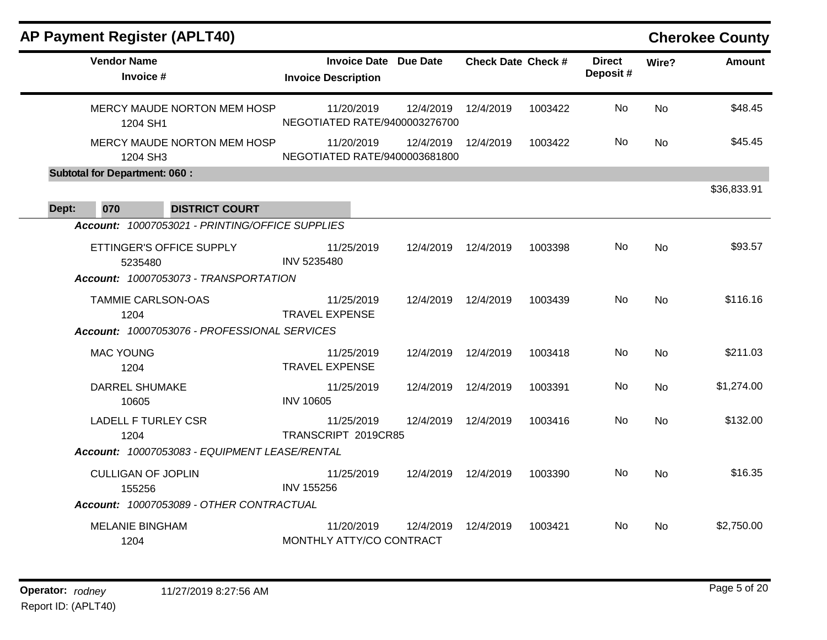| <b>AP Payment Register (APLT40)</b>             |                                                            |                      |                           |         |                           |           | <b>Cherokee County</b> |
|-------------------------------------------------|------------------------------------------------------------|----------------------|---------------------------|---------|---------------------------|-----------|------------------------|
| <b>Vendor Name</b><br>Invoice #                 | <b>Invoice Date Due Date</b><br><b>Invoice Description</b> |                      | <b>Check Date Check #</b> |         | <b>Direct</b><br>Deposit# | Wire?     | <b>Amount</b>          |
| MERCY MAUDE NORTON MEM HOSP<br>1204 SH1         | 11/20/2019<br>NEGOTIATED RATE/9400003276700                | 12/4/2019            | 12/4/2019                 | 1003422 | No.                       | <b>No</b> | \$48.45                |
| MERCY MAUDE NORTON MEM HOSP<br>1204 SH3         | 11/20/2019<br>NEGOTIATED RATE/9400003681800                | 12/4/2019            | 12/4/2019                 | 1003422 | No                        | <b>No</b> | \$45.45                |
| <b>Subtotal for Department: 060:</b>            |                                                            |                      |                           |         |                           |           |                        |
|                                                 |                                                            |                      |                           |         |                           |           | \$36,833.91            |
| 070<br>Dept:<br><b>DISTRICT COURT</b>           |                                                            |                      |                           |         |                           |           |                        |
| Account: 10007053021 - PRINTING/OFFICE SUPPLIES |                                                            |                      |                           |         |                           |           |                        |
| ETTINGER'S OFFICE SUPPLY<br>5235480             | 11/25/2019<br>INV 5235480                                  | 12/4/2019            | 12/4/2019                 | 1003398 | No                        | <b>No</b> | \$93.57                |
| Account: 10007053073 - TRANSPORTATION           |                                                            |                      |                           |         |                           |           |                        |
| TAMMIE CARLSON-OAS<br>1204                      | 11/25/2019<br><b>TRAVEL EXPENSE</b>                        | 12/4/2019  12/4/2019 |                           | 1003439 | No                        | <b>No</b> | \$116.16               |
| Account: 10007053076 - PROFESSIONAL SERVICES    |                                                            |                      |                           |         |                           |           |                        |
| <b>MAC YOUNG</b><br>1204                        | 11/25/2019<br><b>TRAVEL EXPENSE</b>                        | 12/4/2019            | 12/4/2019                 | 1003418 | No.                       | No        | \$211.03               |
| <b>DARREL SHUMAKE</b><br>10605                  | 11/25/2019<br><b>INV 10605</b>                             | 12/4/2019            | 12/4/2019                 | 1003391 | No.                       | <b>No</b> | \$1,274.00             |
| <b>LADELL F TURLEY CSR</b><br>1204              | 11/25/2019<br>TRANSCRIPT 2019CR85                          | 12/4/2019            | 12/4/2019                 | 1003416 | No                        | <b>No</b> | \$132.00               |
| Account: 10007053083 - EQUIPMENT LEASE/RENTAL   |                                                            |                      |                           |         |                           |           |                        |
| <b>CULLIGAN OF JOPLIN</b><br>155256             | 11/25/2019<br><b>INV 155256</b>                            | 12/4/2019 12/4/2019  |                           | 1003390 | No.                       | <b>No</b> | \$16.35                |
| Account: 10007053089 - OTHER CONTRACTUAL        |                                                            |                      |                           |         |                           |           |                        |
| <b>MELANIE BINGHAM</b><br>1204                  | 11/20/2019<br>MONTHLY ATTY/CO CONTRACT                     | 12/4/2019            | 12/4/2019                 | 1003421 | No.                       | No.       | \$2,750.00             |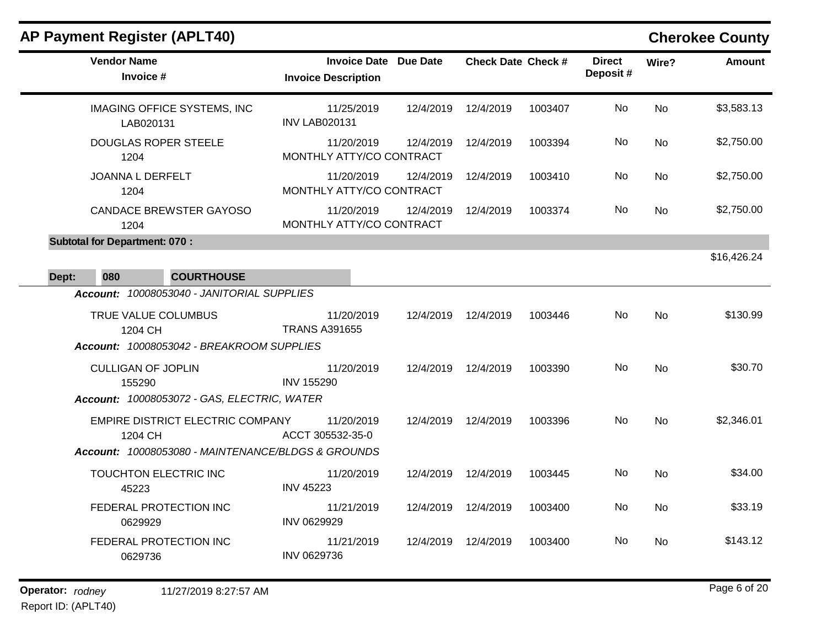# **AP Payment Register (APLT40) Cherokee County**

| <b>Vendor Name</b><br>Invoice #                                                                   | <b>Invoice Date Due Date</b><br><b>Invoice Description</b> |           | <b>Check Date Check #</b> |         | <b>Direct</b><br>Deposit# | Wire?     | <b>Amount</b> |
|---------------------------------------------------------------------------------------------------|------------------------------------------------------------|-----------|---------------------------|---------|---------------------------|-----------|---------------|
| <b>IMAGING OFFICE SYSTEMS, INC</b><br>LAB020131                                                   | 11/25/2019<br><b>INV LAB020131</b>                         | 12/4/2019 | 12/4/2019                 | 1003407 | No                        | <b>No</b> | \$3,583.13    |
| <b>DOUGLAS ROPER STEELE</b><br>1204                                                               | 11/20/2019<br>MONTHLY ATTY/CO CONTRACT                     | 12/4/2019 | 12/4/2019                 | 1003394 | No                        | No.       | \$2,750.00    |
| <b>JOANNA L DERFELT</b><br>1204                                                                   | 11/20/2019<br>MONTHLY ATTY/CO CONTRACT                     | 12/4/2019 | 12/4/2019                 | 1003410 | No                        | <b>No</b> | \$2,750.00    |
| <b>CANDACE BREWSTER GAYOSO</b><br>1204                                                            | 11/20/2019<br>MONTHLY ATTY/CO CONTRACT                     | 12/4/2019 | 12/4/2019                 | 1003374 | No                        | No        | \$2,750.00    |
| <b>Subtotal for Department: 070:</b><br><b>COURTHOUSE</b><br>080<br>Dept:                         |                                                            |           |                           |         |                           |           | \$16,426.24   |
| Account: 10008053040 - JANITORIAL SUPPLIES                                                        |                                                            |           |                           |         |                           |           |               |
| TRUE VALUE COLUMBUS<br>1204 CH<br>Account: 10008053042 - BREAKROOM SUPPLIES                       | 11/20/2019<br><b>TRANS A391655</b>                         | 12/4/2019 | 12/4/2019                 | 1003446 | No.                       | <b>No</b> | \$130.99      |
| <b>CULLIGAN OF JOPLIN</b><br>155290<br>Account: 10008053072 - GAS, ELECTRIC, WATER                | 11/20/2019<br><b>INV 155290</b>                            | 12/4/2019 | 12/4/2019                 | 1003390 | No.                       | <b>No</b> | \$30.70       |
| EMPIRE DISTRICT ELECTRIC COMPANY<br>1204 CH<br>Account: 10008053080 - MAINTENANCE/BLDGS & GROUNDS | 11/20/2019<br>ACCT 305532-35-0                             | 12/4/2019 | 12/4/2019                 | 1003396 | No                        | <b>No</b> | \$2,346.01    |
| TOUCHTON ELECTRIC INC<br>45223                                                                    | 11/20/2019<br><b>INV 45223</b>                             | 12/4/2019 | 12/4/2019                 | 1003445 | No                        | <b>No</b> | \$34.00       |
| FEDERAL PROTECTION INC<br>0629929                                                                 | 11/21/2019<br>INV 0629929                                  | 12/4/2019 | 12/4/2019                 | 1003400 | No                        | No        | \$33.19       |
| FEDERAL PROTECTION INC<br>0629736                                                                 | 11/21/2019<br>INV 0629736                                  | 12/4/2019 | 12/4/2019                 | 1003400 | No.                       | No.       | \$143.12      |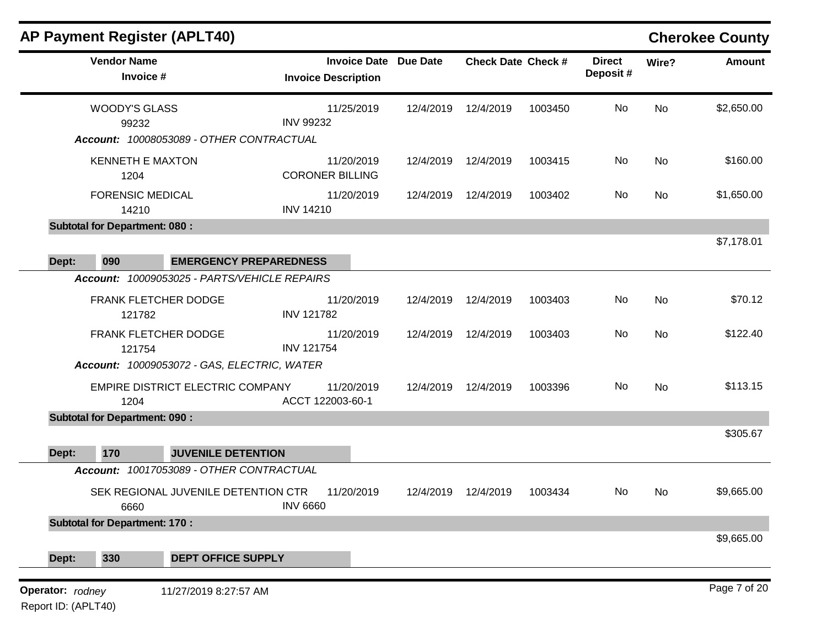|                                         |                                      | <b>AP Payment Register (APLT40)</b>                                             |                                                   |                 |                           |         |                           |           | <b>Cherokee County</b> |
|-----------------------------------------|--------------------------------------|---------------------------------------------------------------------------------|---------------------------------------------------|-----------------|---------------------------|---------|---------------------------|-----------|------------------------|
|                                         | <b>Vendor Name</b><br>Invoice #      |                                                                                 | <b>Invoice Date</b><br><b>Invoice Description</b> | <b>Due Date</b> | <b>Check Date Check #</b> |         | <b>Direct</b><br>Deposit# | Wire?     | <b>Amount</b>          |
|                                         | <b>WOODY'S GLASS</b><br>99232        |                                                                                 | 11/25/2019<br><b>INV 99232</b>                    | 12/4/2019       | 12/4/2019                 | 1003450 | No                        | <b>No</b> | \$2,650.00             |
|                                         |                                      | Account: 10008053089 - OTHER CONTRACTUAL                                        |                                                   |                 |                           |         |                           |           |                        |
|                                         | <b>KENNETH E MAXTON</b><br>1204      |                                                                                 | 11/20/2019<br><b>CORONER BILLING</b>              | 12/4/2019       | 12/4/2019                 | 1003415 | No                        | No        | \$160.00               |
|                                         | <b>FORENSIC MEDICAL</b><br>14210     |                                                                                 | 11/20/2019<br><b>INV 14210</b>                    | 12/4/2019       | 12/4/2019                 | 1003402 | No                        | No        | \$1,650.00             |
|                                         | <b>Subtotal for Department: 080:</b> |                                                                                 |                                                   |                 |                           |         |                           |           |                        |
|                                         |                                      |                                                                                 |                                                   |                 |                           |         |                           |           | \$7,178.01             |
| Dept:                                   | 090                                  | <b>EMERGENCY PREPAREDNESS</b><br>Account: 10009053025 - PARTS/VEHICLE REPAIRS   |                                                   |                 |                           |         |                           |           |                        |
|                                         |                                      |                                                                                 |                                                   |                 |                           |         |                           |           |                        |
|                                         | FRANK FLETCHER DODGE<br>121782       |                                                                                 | 11/20/2019<br><b>INV 121782</b>                   | 12/4/2019       | 12/4/2019                 | 1003403 | No                        | No        | \$70.12                |
|                                         | FRANK FLETCHER DODGE<br>121754       |                                                                                 | 11/20/2019<br><b>INV 121754</b>                   | 12/4/2019       | 12/4/2019                 | 1003403 | No                        | No        | \$122.40               |
|                                         | 1204                                 | Account: 10009053072 - GAS, ELECTRIC, WATER<br>EMPIRE DISTRICT ELECTRIC COMPANY | 11/20/2019<br>ACCT 122003-60-1                    | 12/4/2019       | 12/4/2019                 | 1003396 | No                        | No        | \$113.15               |
|                                         | <b>Subtotal for Department: 090:</b> |                                                                                 |                                                   |                 |                           |         |                           |           |                        |
| Dept:                                   | 170                                  | <b>JUVENILE DETENTION</b>                                                       |                                                   |                 |                           |         |                           |           | \$305.67               |
|                                         |                                      | Account: 10017053089 - OTHER CONTRACTUAL                                        |                                                   |                 |                           |         |                           |           |                        |
|                                         | 6660                                 | SEK REGIONAL JUVENILE DETENTION CTR                                             | 11/20/2019<br><b>INV 6660</b>                     | 12/4/2019       | 12/4/2019                 | 1003434 | No                        | No        | \$9,665.00             |
|                                         | <b>Subtotal for Department: 170:</b> |                                                                                 |                                                   |                 |                           |         |                           |           |                        |
| Dept:                                   | 330                                  | <b>DEPT OFFICE SUPPLY</b>                                                       |                                                   |                 |                           |         |                           |           | \$9,665.00             |
| Operator: rodney<br>Report ID: (APLT40) |                                      | 11/27/2019 8:27:57 AM                                                           |                                                   |                 |                           |         |                           |           | Page 7 of 20           |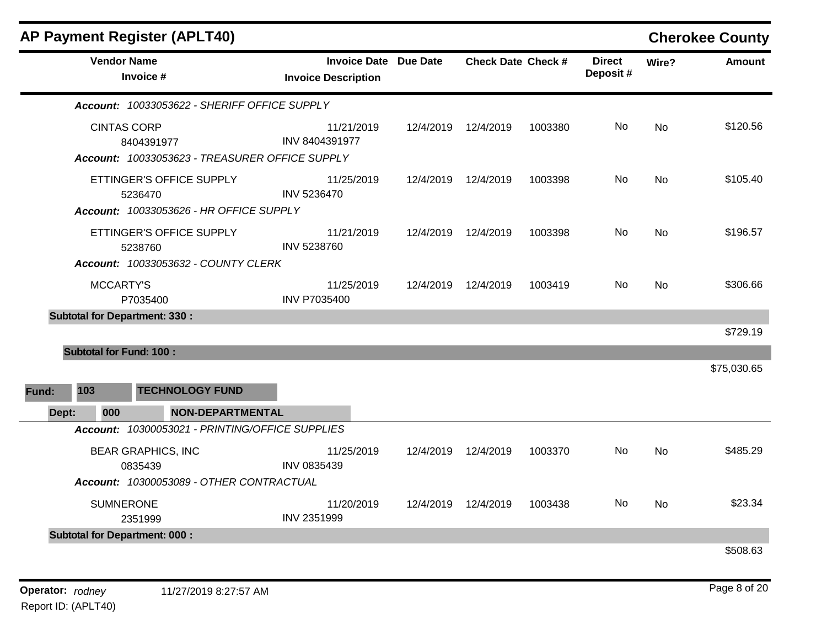| <b>AP Payment Register (APLT40)</b>  |                                                                     |                                                            |           |                           |         |                           |           | <b>Cherokee County</b> |
|--------------------------------------|---------------------------------------------------------------------|------------------------------------------------------------|-----------|---------------------------|---------|---------------------------|-----------|------------------------|
| <b>Vendor Name</b><br>Invoice #      |                                                                     | <b>Invoice Date Due Date</b><br><b>Invoice Description</b> |           | <b>Check Date Check #</b> |         | <b>Direct</b><br>Deposit# | Wire?     | <b>Amount</b>          |
|                                      | Account: 10033053622 - SHERIFF OFFICE SUPPLY                        |                                                            |           |                           |         |                           |           |                        |
| <b>CINTAS CORP</b><br>8404391977     | Account: 10033053623 - TREASURER OFFICE SUPPLY                      | 11/21/2019<br><b>INV 8404391977</b>                        |           | 12/4/2019  12/4/2019      | 1003380 | No                        | <b>No</b> | \$120.56               |
| 5236470                              | ETTINGER'S OFFICE SUPPLY<br>Account: 10033053626 - HR OFFICE SUPPLY | 11/25/2019<br>INV 5236470                                  | 12/4/2019 | 12/4/2019                 | 1003398 | No                        | No        | \$105.40               |
| 5238760                              | ETTINGER'S OFFICE SUPPLY<br>Account: 10033053632 - COUNTY CLERK     | 11/21/2019<br>INV 5238760                                  | 12/4/2019 | 12/4/2019                 | 1003398 | No.                       | No        | \$196.57               |
| MCCARTY'S<br>P7035400                |                                                                     | 11/25/2019<br><b>INV P7035400</b>                          | 12/4/2019 | 12/4/2019                 | 1003419 | No.                       | <b>No</b> | \$306.66               |
| <b>Subtotal for Department: 330:</b> |                                                                     |                                                            |           |                           |         |                           |           | \$729.19               |
| <b>Subtotal for Fund: 100:</b>       |                                                                     |                                                            |           |                           |         |                           |           |                        |
| 103<br>Fund:<br>000<br>Dept:         | <b>TECHNOLOGY FUND</b><br>NON-DEPARTMENTAL                          |                                                            |           |                           |         |                           |           | \$75,030.65            |
|                                      | Account: 10300053021 - PRINTING/OFFICE SUPPLIES                     |                                                            |           |                           |         |                           |           |                        |
| <b>BEAR GRAPHICS, INC</b><br>0835439 |                                                                     | 11/25/2019<br>INV 0835439                                  | 12/4/2019 | 12/4/2019                 | 1003370 | No.                       | <b>No</b> | \$485.29               |
|                                      | Account: 10300053089 - OTHER CONTRACTUAL                            |                                                            |           |                           |         |                           |           |                        |
| <b>SUMNERONE</b><br>2351999          |                                                                     | 11/20/2019<br>INV 2351999                                  | 12/4/2019 | 12/4/2019                 | 1003438 | No                        | <b>No</b> | \$23.34                |
| <b>Subtotal for Department: 000:</b> |                                                                     |                                                            |           |                           |         |                           |           | \$508.63               |
|                                      |                                                                     |                                                            |           |                           |         |                           |           |                        |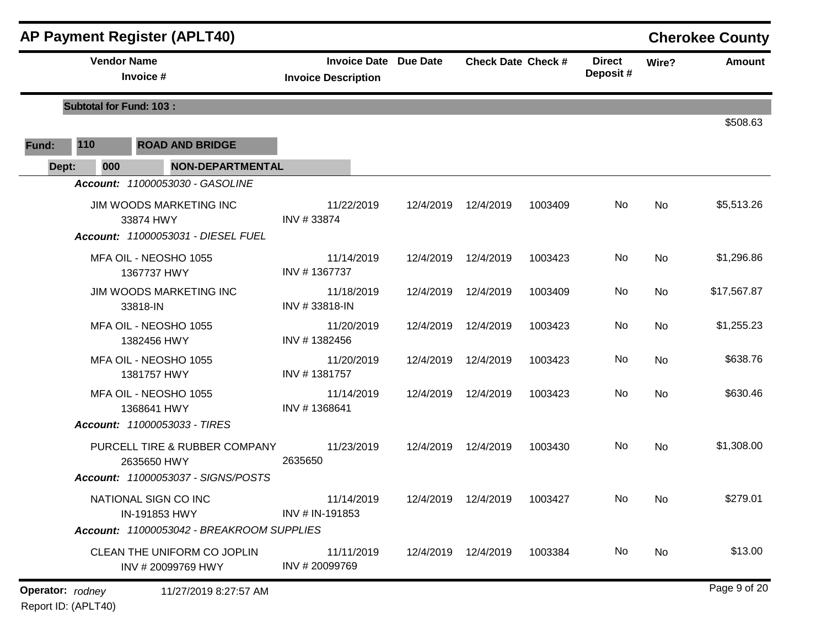|       |                                | <b>AP Payment Register (APLT40)</b>                                                                           |                                                            |           |                           |         |                           |           | <b>Cherokee County</b> |
|-------|--------------------------------|---------------------------------------------------------------------------------------------------------------|------------------------------------------------------------|-----------|---------------------------|---------|---------------------------|-----------|------------------------|
|       | <b>Vendor Name</b>             | Invoice #                                                                                                     | <b>Invoice Date Due Date</b><br><b>Invoice Description</b> |           | <b>Check Date Check #</b> |         | <b>Direct</b><br>Deposit# | Wire?     | Amount                 |
|       | <b>Subtotal for Fund: 103:</b> |                                                                                                               |                                                            |           |                           |         |                           |           |                        |
| Fund: | 110                            | <b>ROAD AND BRIDGE</b>                                                                                        |                                                            |           |                           |         |                           |           | \$508.63               |
| Dept: | 000                            | <b>NON-DEPARTMENTAL</b>                                                                                       |                                                            |           |                           |         |                           |           |                        |
|       |                                | Account: 11000053030 - GASOLINE<br>JIM WOODS MARKETING INC<br>33874 HWY<br>Account: 11000053031 - DIESEL FUEL | 11/22/2019<br>INV #33874                                   | 12/4/2019 | 12/4/2019                 | 1003409 | No                        | No        | \$5,513.26             |
|       |                                | MFA OIL - NEOSHO 1055<br>1367737 HWY                                                                          | 11/14/2019<br>INV #1367737                                 | 12/4/2019 | 12/4/2019                 | 1003423 | No                        | No        | \$1,296.86             |
|       |                                | <b>JIM WOODS MARKETING INC</b><br>33818-IN                                                                    | 11/18/2019<br>INV #33818-IN                                | 12/4/2019 | 12/4/2019                 | 1003409 | No                        | No        | \$17,567.87            |
|       |                                | MFA OIL - NEOSHO 1055<br>1382456 HWY                                                                          | 11/20/2019<br>INV #1382456                                 | 12/4/2019 | 12/4/2019                 | 1003423 | No                        | No        | \$1,255.23             |
|       |                                | MFA OIL - NEOSHO 1055<br>1381757 HWY                                                                          | 11/20/2019<br>INV #1381757                                 | 12/4/2019 | 12/4/2019                 | 1003423 | No                        | <b>No</b> | \$638.76               |
|       |                                | MFA OIL - NEOSHO 1055<br>1368641 HWY<br>Account: 11000053033 - TIRES                                          | 11/14/2019<br>INV #1368641                                 | 12/4/2019 | 12/4/2019                 | 1003423 | No                        | <b>No</b> | \$630.46               |
|       |                                | PURCELL TIRE & RUBBER COMPANY<br>2635650 HWY<br>Account: 11000053037 - SIGNS/POSTS                            | 11/23/2019<br>2635650                                      | 12/4/2019 | 12/4/2019                 | 1003430 | No                        | No        | \$1,308.00             |
|       |                                | NATIONAL SIGN CO INC<br>IN-191853 HWY<br>Account: 11000053042 - BREAKROOM SUPPLIES                            | 11/14/2019<br>INV # IN-191853                              |           | 12/4/2019  12/4/2019      | 1003427 | No                        | No.       | \$279.01               |
|       |                                | CLEAN THE UNIFORM CO JOPLIN<br>INV #20099769 HWY                                                              | 11/11/2019<br>INV #20099769                                |           | 12/4/2019 12/4/2019       | 1003384 | No                        | No        | \$13.00                |
|       | Operator: rodney               | 11/27/2019 8:27:57 AM                                                                                         |                                                            |           |                           |         |                           |           | Page 9 of 20           |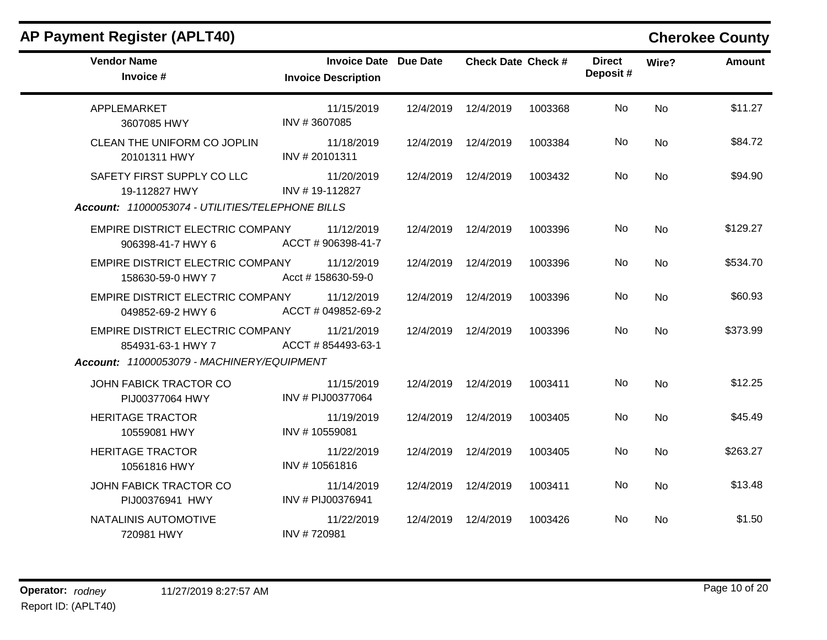| <b>AP Payment Register (APLT40)</b>                                                             |                                                            |           |                           |         |                           |           | <b>Cherokee County</b> |
|-------------------------------------------------------------------------------------------------|------------------------------------------------------------|-----------|---------------------------|---------|---------------------------|-----------|------------------------|
| <b>Vendor Name</b><br>Invoice #                                                                 | <b>Invoice Date Due Date</b><br><b>Invoice Description</b> |           | <b>Check Date Check #</b> |         | <b>Direct</b><br>Deposit# | Wire?     | <b>Amount</b>          |
| APPLEMARKET<br>3607085 HWY                                                                      | 11/15/2019<br>INV #3607085                                 | 12/4/2019 | 12/4/2019                 | 1003368 | No.                       | <b>No</b> | \$11.27                |
| CLEAN THE UNIFORM CO JOPLIN<br>20101311 HWY                                                     | 11/18/2019<br>INV #20101311                                | 12/4/2019 | 12/4/2019                 | 1003384 | No                        | <b>No</b> | \$84.72                |
| SAFETY FIRST SUPPLY CO LLC<br>19-112827 HWY<br>Account: 11000053074 - UTILITIES/TELEPHONE BILLS | 11/20/2019<br>INV #19-112827                               |           | 12/4/2019 12/4/2019       | 1003432 | No.                       | No        | \$94.90                |
| EMPIRE DISTRICT ELECTRIC COMPANY<br>906398-41-7 HWY 6                                           | 11/12/2019<br>ACCT #906398-41-7                            | 12/4/2019 | 12/4/2019                 | 1003396 | No.                       | <b>No</b> | \$129.27               |
| EMPIRE DISTRICT ELECTRIC COMPANY<br>158630-59-0 HWY 7                                           | 11/12/2019<br>Acct # 158630-59-0                           | 12/4/2019 | 12/4/2019                 | 1003396 | No                        | <b>No</b> | \$534.70               |
| EMPIRE DISTRICT ELECTRIC COMPANY<br>049852-69-2 HWY 6                                           | 11/12/2019<br>ACCT # 049852-69-2                           | 12/4/2019 | 12/4/2019                 | 1003396 | No                        | No        | \$60.93                |
| EMPIRE DISTRICT ELECTRIC COMPANY<br>854931-63-1 HWY 7                                           | 11/21/2019<br>ACCT #854493-63-1                            | 12/4/2019 | 12/4/2019                 | 1003396 | No.                       | <b>No</b> | \$373.99               |
| Account: 11000053079 - MACHINERY/EQUIPMENT                                                      |                                                            |           |                           |         |                           |           |                        |
| JOHN FABICK TRACTOR CO<br>PIJ00377064 HWY                                                       | 11/15/2019<br>INV # PIJ00377064                            |           | 12/4/2019 12/4/2019       | 1003411 | No                        | <b>No</b> | \$12.25                |
| <b>HERITAGE TRACTOR</b><br>10559081 HWY                                                         | 11/19/2019<br>INV #10559081                                | 12/4/2019 | 12/4/2019                 | 1003405 | <b>No</b>                 | No        | \$45.49                |
| <b>HERITAGE TRACTOR</b><br>10561816 HWY                                                         | 11/22/2019<br>INV #10561816                                | 12/4/2019 | 12/4/2019                 | 1003405 | No.                       | No        | \$263.27               |
| JOHN FABICK TRACTOR CO<br>PIJ00376941 HWY                                                       | 11/14/2019<br>INV # PIJ00376941                            | 12/4/2019 | 12/4/2019                 | 1003411 | No.                       | <b>No</b> | \$13.48                |
| NATALINIS AUTOMOTIVE<br>720981 HWY                                                              | 11/22/2019<br>INV #720981                                  | 12/4/2019 | 12/4/2019                 | 1003426 | No.                       | No.       | \$1.50                 |

## **Operator:** rodney 11/27/2019 8:27:57 AM *Page 10 of 20 Page 10 of 20* Report ID: (APLT40)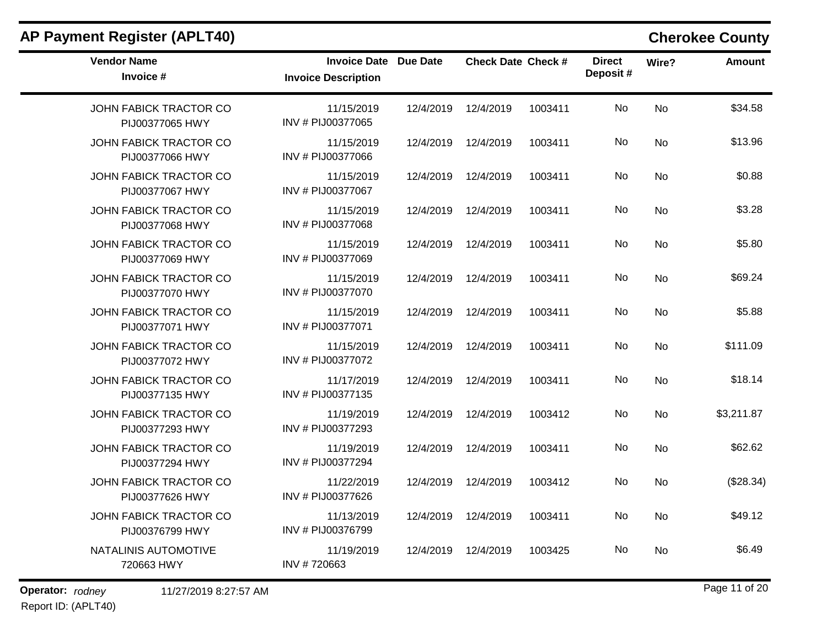| <b>AP Payment Register (APLT40)</b>              |                                                   |                 |                           |         |                           |           | <b>Cherokee County</b> |
|--------------------------------------------------|---------------------------------------------------|-----------------|---------------------------|---------|---------------------------|-----------|------------------------|
| <b>Vendor Name</b><br>Invoice #                  | <b>Invoice Date</b><br><b>Invoice Description</b> | <b>Due Date</b> | <b>Check Date Check #</b> |         | <b>Direct</b><br>Deposit# | Wire?     | <b>Amount</b>          |
| <b>JOHN FABICK TRACTOR CO</b><br>PIJ00377065 HWY | 11/15/2019<br>INV # PIJ00377065                   | 12/4/2019       | 12/4/2019                 | 1003411 | No                        | <b>No</b> | \$34.58                |
| JOHN FABICK TRACTOR CO<br>PIJ00377066 HWY        | 11/15/2019<br>INV # PIJ00377066                   | 12/4/2019       | 12/4/2019                 | 1003411 | No                        | <b>No</b> | \$13.96                |
| JOHN FABICK TRACTOR CO<br>PIJ00377067 HWY        | 11/15/2019<br>INV # PIJ00377067                   | 12/4/2019       | 12/4/2019                 | 1003411 | No                        | No        | \$0.88                 |
| JOHN FABICK TRACTOR CO<br>PIJ00377068 HWY        | 11/15/2019<br>INV # PIJ00377068                   | 12/4/2019       | 12/4/2019                 | 1003411 | No                        | <b>No</b> | \$3.28                 |
| <b>JOHN FABICK TRACTOR CO</b><br>PIJ00377069 HWY | 11/15/2019<br>INV # PIJ00377069                   | 12/4/2019       | 12/4/2019                 | 1003411 | No                        | <b>No</b> | \$5.80                 |
| <b>JOHN FABICK TRACTOR CO</b><br>PIJ00377070 HWY | 11/15/2019<br>INV # PIJ00377070                   | 12/4/2019       | 12/4/2019                 | 1003411 | No                        | <b>No</b> | \$69.24                |
| JOHN FABICK TRACTOR CO<br>PIJ00377071 HWY        | 11/15/2019<br>INV # PIJ00377071                   | 12/4/2019       | 12/4/2019                 | 1003411 | No                        | No        | \$5.88                 |
| <b>JOHN FABICK TRACTOR CO</b><br>PIJ00377072 HWY | 11/15/2019<br>INV # PIJ00377072                   | 12/4/2019       | 12/4/2019                 | 1003411 | No                        | <b>No</b> | \$111.09               |
| JOHN FABICK TRACTOR CO<br>PIJ00377135 HWY        | 11/17/2019<br>INV # PIJ00377135                   | 12/4/2019       | 12/4/2019                 | 1003411 | No                        | <b>No</b> | \$18.14                |
| JOHN FABICK TRACTOR CO<br>PIJ00377293 HWY        | 11/19/2019<br>INV # PIJ00377293                   | 12/4/2019       | 12/4/2019                 | 1003412 | No                        | No        | \$3,211.87             |
| JOHN FABICK TRACTOR CO<br>PIJ00377294 HWY        | 11/19/2019<br>INV # PIJ00377294                   | 12/4/2019       | 12/4/2019                 | 1003411 | No                        | <b>No</b> | \$62.62                |
| JOHN FABICK TRACTOR CO<br>PIJ00377626 HWY        | 11/22/2019<br>INV # PIJ00377626                   | 12/4/2019       | 12/4/2019                 | 1003412 | No                        | No        | (\$28.34)              |
| <b>JOHN FABICK TRACTOR CO</b><br>PIJ00376799 HWY | 11/13/2019<br>INV # PIJ00376799                   | 12/4/2019       | 12/4/2019                 | 1003411 | No                        | No        | \$49.12                |
| NATALINIS AUTOMOTIVE<br>720663 HWY               | 11/19/2019<br>INV #720663                         | 12/4/2019       | 12/4/2019                 | 1003425 | No                        | No        | \$6.49                 |

## Report ID: (APLT40)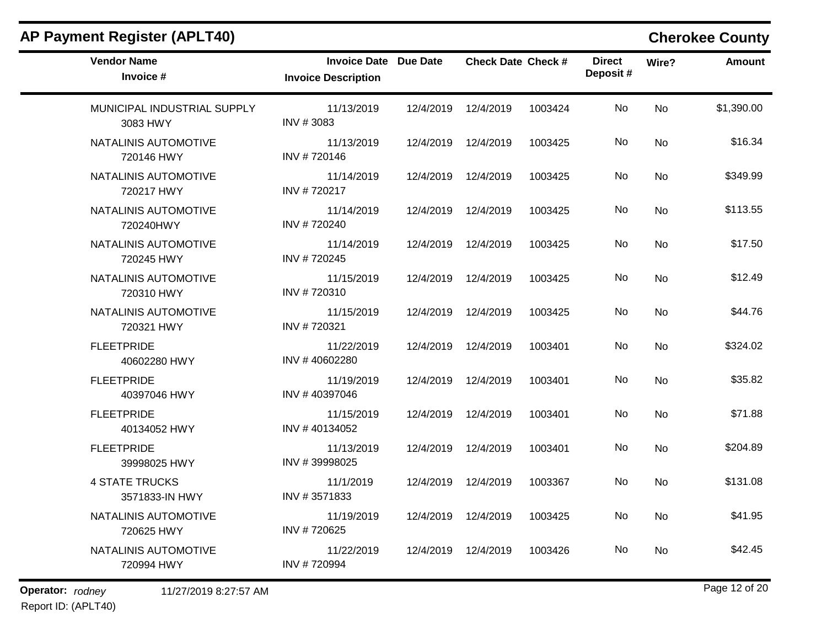| <b>Vendor Name</b><br>Invoice #         | Invoice Date Due Date<br><b>Invoice Description</b> |           | <b>Check Date Check #</b> |         | <b>Direct</b><br>Deposit# | Wire?     | <b>Amount</b> |
|-----------------------------------------|-----------------------------------------------------|-----------|---------------------------|---------|---------------------------|-----------|---------------|
| MUNICIPAL INDUSTRIAL SUPPLY<br>3083 HWY | 11/13/2019<br>INV #3083                             | 12/4/2019 | 12/4/2019                 | 1003424 | No                        | <b>No</b> | \$1,390.00    |
| NATALINIS AUTOMOTIVE<br>720146 HWY      | 11/13/2019<br>INV #720146                           |           | 12/4/2019 12/4/2019       | 1003425 | No.                       | No        | \$16.34       |
| NATALINIS AUTOMOTIVE<br>720217 HWY      | 11/14/2019<br>INV #720217                           |           | 12/4/2019 12/4/2019       | 1003425 | No.                       | <b>No</b> | \$349.99      |
| NATALINIS AUTOMOTIVE<br>720240HWY       | 11/14/2019<br>INV #720240                           |           | 12/4/2019 12/4/2019       | 1003425 | No.                       | <b>No</b> | \$113.55      |
| NATALINIS AUTOMOTIVE<br>720245 HWY      | 11/14/2019<br>INV #720245                           |           | 12/4/2019 12/4/2019       | 1003425 | No.                       | No        | \$17.50       |
| NATALINIS AUTOMOTIVE<br>720310 HWY      | 11/15/2019<br>INV #720310                           | 12/4/2019 | 12/4/2019                 | 1003425 | No                        | <b>No</b> | \$12.49       |
| NATALINIS AUTOMOTIVE<br>720321 HWY      | 11/15/2019<br>INV #720321                           |           | 12/4/2019 12/4/2019       | 1003425 | No                        | No        | \$44.76       |
| <b>FLEETPRIDE</b><br>40602280 HWY       | 11/22/2019<br>INV #40602280                         |           | 12/4/2019 12/4/2019       | 1003401 | No.                       | <b>No</b> | \$324.02      |
| <b>FLEETPRIDE</b><br>40397046 HWY       | 11/19/2019<br>INV #40397046                         | 12/4/2019 | 12/4/2019                 | 1003401 | No                        | <b>No</b> | \$35.82       |
| <b>FLEETPRIDE</b><br>40134052 HWY       | 11/15/2019<br>INV #40134052                         |           | 12/4/2019 12/4/2019       | 1003401 | No.                       | No        | \$71.88       |
| <b>FLEETPRIDE</b><br>39998025 HWY       | 11/13/2019<br>INV #39998025                         | 12/4/2019 | 12/4/2019                 | 1003401 | No                        | <b>No</b> | \$204.89      |
| <b>4 STATE TRUCKS</b><br>3571833-IN HWY | 11/1/2019<br>INV #3571833                           |           | 12/4/2019 12/4/2019       | 1003367 | No.                       | No        | \$131.08      |
| NATALINIS AUTOMOTIVE<br>720625 HWY      | 11/19/2019<br>INV #720625                           | 12/4/2019 | 12/4/2019                 | 1003425 | No                        | <b>No</b> | \$41.95       |
| NATALINIS AUTOMOTIVE<br>720994 HWY      | 11/22/2019<br>INV #720994                           |           | 12/4/2019  12/4/2019      | 1003426 | No.                       | No        | \$42.45       |

## **AP Payment Register (APLT40) Cherokee County**

**Operator:** rodney 11/27/2019 8:27:57 AM *Page 12 of 20 Page 12 of 20* Report ID: (APLT40)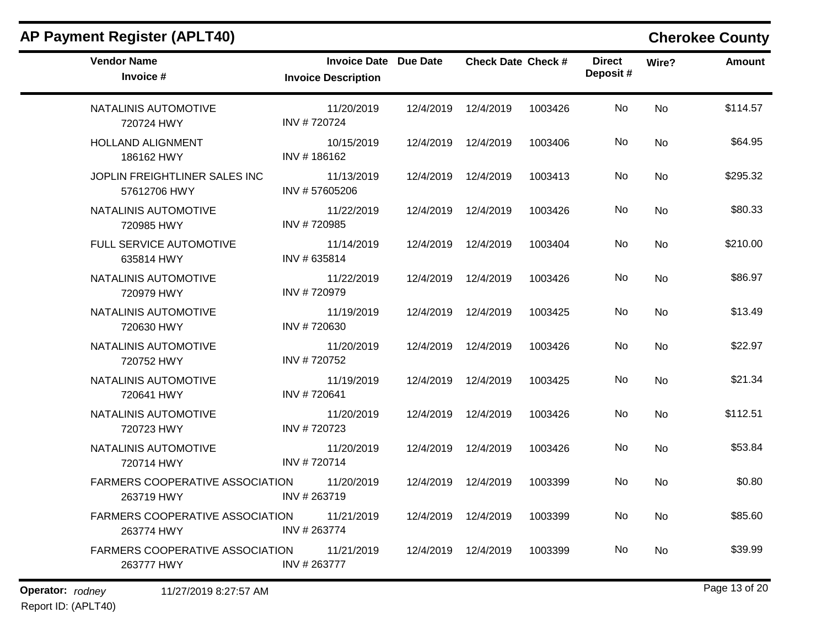| <b>AP Payment Register (APLT40)</b>                  |                                                            |           |                           |         |                           |           | <b>Cherokee County</b> |
|------------------------------------------------------|------------------------------------------------------------|-----------|---------------------------|---------|---------------------------|-----------|------------------------|
| <b>Vendor Name</b><br>Invoice #                      | <b>Invoice Date Due Date</b><br><b>Invoice Description</b> |           | <b>Check Date Check #</b> |         | <b>Direct</b><br>Deposit# | Wire?     | <b>Amount</b>          |
| NATALINIS AUTOMOTIVE<br>720724 HWY                   | 11/20/2019<br>INV #720724                                  | 12/4/2019 | 12/4/2019                 | 1003426 | No                        | No        | \$114.57               |
| <b>HOLLAND ALIGNMENT</b><br>186162 HWY               | 10/15/2019<br>INV #186162                                  | 12/4/2019 | 12/4/2019                 | 1003406 | No                        | No        | \$64.95                |
| JOPLIN FREIGHTLINER SALES INC<br>57612706 HWY        | 11/13/2019<br>INV #57605206                                | 12/4/2019 | 12/4/2019                 | 1003413 | No                        | No        | \$295.32               |
| NATALINIS AUTOMOTIVE<br>720985 HWY                   | 11/22/2019<br>INV #720985                                  | 12/4/2019 | 12/4/2019                 | 1003426 | No                        | No        | \$80.33                |
| FULL SERVICE AUTOMOTIVE<br>635814 HWY                | 11/14/2019<br>INV #635814                                  | 12/4/2019 | 12/4/2019                 | 1003404 | No                        | No        | \$210.00               |
| NATALINIS AUTOMOTIVE<br>720979 HWY                   | 11/22/2019<br>INV #720979                                  | 12/4/2019 | 12/4/2019                 | 1003426 | No                        | No        | \$86.97                |
| NATALINIS AUTOMOTIVE<br>720630 HWY                   | 11/19/2019<br>INV #720630                                  | 12/4/2019 | 12/4/2019                 | 1003425 | No                        | No        | \$13.49                |
| NATALINIS AUTOMOTIVE<br>720752 HWY                   | 11/20/2019<br>INV #720752                                  | 12/4/2019 | 12/4/2019                 | 1003426 | No                        | No        | \$22.97                |
| NATALINIS AUTOMOTIVE<br>720641 HWY                   | 11/19/2019<br>INV #720641                                  | 12/4/2019 | 12/4/2019                 | 1003425 | No                        | <b>No</b> | \$21.34                |
| NATALINIS AUTOMOTIVE<br>720723 HWY                   | 11/20/2019<br>INV #720723                                  | 12/4/2019 | 12/4/2019                 | 1003426 | No                        | No        | \$112.51               |
| NATALINIS AUTOMOTIVE<br>720714 HWY                   | 11/20/2019<br>INV #720714                                  | 12/4/2019 | 12/4/2019                 | 1003426 | No                        | No        | \$53.84                |
| <b>FARMERS COOPERATIVE ASSOCIATION</b><br>263719 HWY | 11/20/2019<br>INV #263719                                  | 12/4/2019 | 12/4/2019                 | 1003399 | No                        | No        | \$0.80                 |
| FARMERS COOPERATIVE ASSOCIATION<br>263774 HWY        | 11/21/2019<br>INV #263774                                  |           | 12/4/2019 12/4/2019       | 1003399 | No                        | No        | \$85.60                |
| FARMERS COOPERATIVE ASSOCIATION<br>263777 HWY        | 11/21/2019<br>INV #263777                                  |           | 12/4/2019 12/4/2019       | 1003399 | No                        | No        | \$39.99                |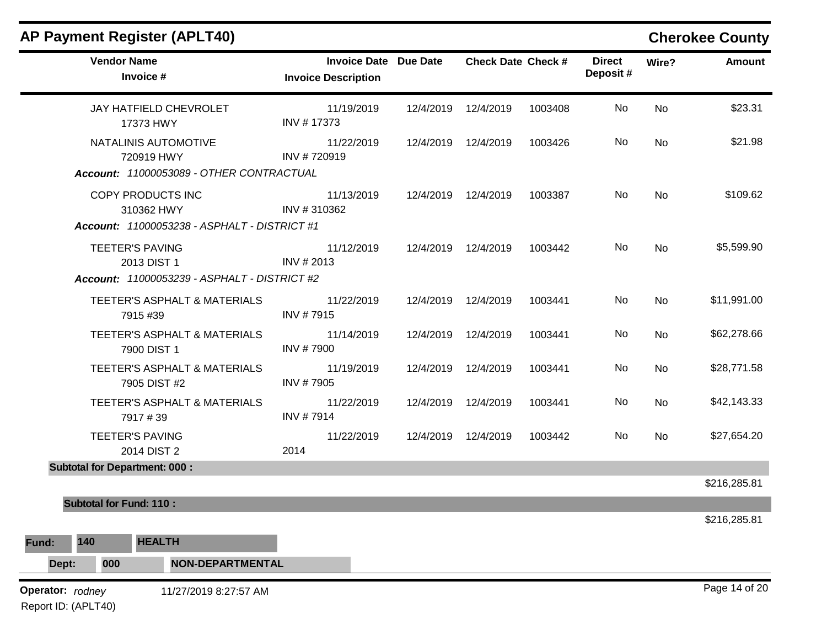|       |                                         | <b>AP Payment Register (APLT40)</b>                                                                                                |                                                            |           |                           |         |                           |       | <b>Cherokee County</b> |
|-------|-----------------------------------------|------------------------------------------------------------------------------------------------------------------------------------|------------------------------------------------------------|-----------|---------------------------|---------|---------------------------|-------|------------------------|
|       | <b>Vendor Name</b>                      | Invoice #                                                                                                                          | <b>Invoice Date Due Date</b><br><b>Invoice Description</b> |           | <b>Check Date Check #</b> |         | <b>Direct</b><br>Deposit# | Wire? | <b>Amount</b>          |
|       |                                         | <b>JAY HATFIELD CHEVROLET</b><br>17373 HWY                                                                                         | 11/19/2019<br>INV #17373                                   | 12/4/2019 | 12/4/2019                 | 1003408 | No                        | No    | \$23.31                |
|       |                                         | NATALINIS AUTOMOTIVE<br>720919 HWY                                                                                                 | 11/22/2019<br>INV #720919                                  | 12/4/2019 | 12/4/2019                 | 1003426 | No                        | No    | \$21.98                |
|       |                                         | Account: 11000053089 - OTHER CONTRACTUAL<br>COPY PRODUCTS INC<br>310362 HWY<br><b>Account: 11000053238 - ASPHALT - DISTRICT #1</b> | 11/13/2019<br>INV #310362                                  | 12/4/2019 | 12/4/2019                 | 1003387 | No                        | No    | \$109.62               |
|       |                                         | <b>TEETER'S PAVING</b><br>2013 DIST 1<br>Account: 11000053239 - ASPHALT - DISTRICT #2                                              | 11/12/2019<br>INV # 2013                                   |           | 12/4/2019 12/4/2019       | 1003442 | No                        | No    | \$5,599.90             |
|       |                                         | TEETER'S ASPHALT & MATERIALS<br>7915 #39                                                                                           | 11/22/2019<br>INV #7915                                    |           | 12/4/2019 12/4/2019       | 1003441 | No                        | No    | \$11,991.00            |
|       |                                         | TEETER'S ASPHALT & MATERIALS<br>7900 DIST 1                                                                                        | 11/14/2019<br><b>INV #7900</b>                             |           | 12/4/2019 12/4/2019       | 1003441 | No                        | No    | \$62,278.66            |
|       |                                         | TEETER'S ASPHALT & MATERIALS<br>7905 DIST #2                                                                                       | 11/19/2019<br>INV #7905                                    | 12/4/2019 | 12/4/2019                 | 1003441 | No                        | No    | \$28,771.58            |
|       |                                         | TEETER'S ASPHALT & MATERIALS<br>7917#39                                                                                            | 11/22/2019<br>INV #7914                                    | 12/4/2019 | 12/4/2019                 | 1003441 | No                        | No    | \$42,143.33            |
|       |                                         | <b>TEETER'S PAVING</b><br>2014 DIST 2                                                                                              | 11/22/2019<br>2014                                         | 12/4/2019 | 12/4/2019                 | 1003442 | No                        | No    | \$27,654.20            |
|       | <b>Subtotal for Department: 000:</b>    |                                                                                                                                    |                                                            |           |                           |         |                           |       |                        |
|       | <b>Subtotal for Fund: 110:</b>          |                                                                                                                                    |                                                            |           |                           |         |                           |       | \$216,285.81           |
|       |                                         |                                                                                                                                    |                                                            |           |                           |         |                           |       | \$216,285.81           |
| Fund: | 140                                     | <b>HEALTH</b>                                                                                                                      |                                                            |           |                           |         |                           |       |                        |
|       | 000<br>Dept:                            | <b>NON-DEPARTMENTAL</b>                                                                                                            |                                                            |           |                           |         |                           |       |                        |
|       | Operator: rodney<br>Report ID: (APLT40) | 11/27/2019 8:27:57 AM                                                                                                              |                                                            |           |                           |         |                           |       | Page 14 of 20          |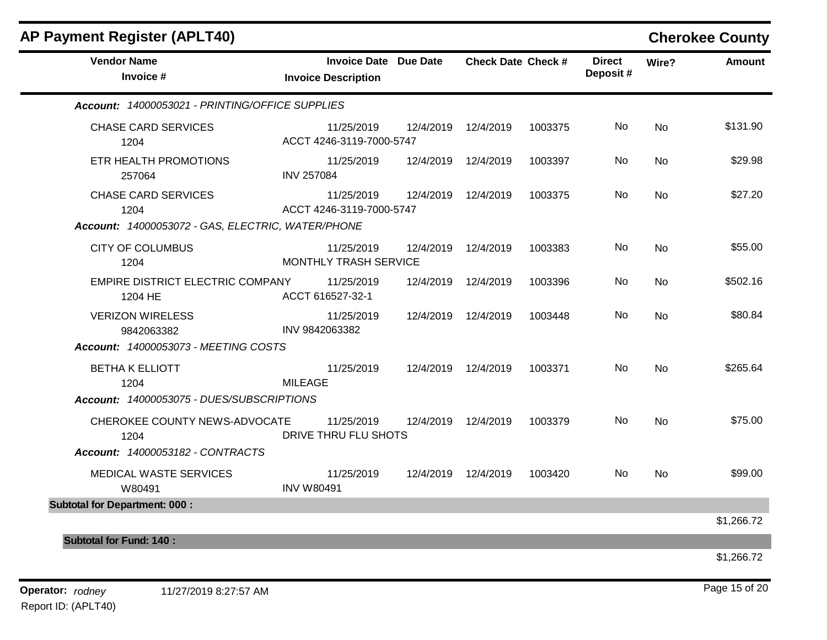| <b>AP Payment Register (APLT40)</b>                                                     |                                                            |           |                           |         |                           |           | <b>Cherokee County</b> |
|-----------------------------------------------------------------------------------------|------------------------------------------------------------|-----------|---------------------------|---------|---------------------------|-----------|------------------------|
| <b>Vendor Name</b><br>Invoice #                                                         | <b>Invoice Date Due Date</b><br><b>Invoice Description</b> |           | <b>Check Date Check #</b> |         | <b>Direct</b><br>Deposit# | Wire?     | <b>Amount</b>          |
| Account: 14000053021 - PRINTING/OFFICE SUPPLIES                                         |                                                            |           |                           |         |                           |           |                        |
| <b>CHASE CARD SERVICES</b><br>1204                                                      | 11/25/2019<br>ACCT 4246-3119-7000-5747                     |           | 12/4/2019 12/4/2019       | 1003375 | No.                       | No        | \$131.90               |
| ETR HEALTH PROMOTIONS<br>257064                                                         | 11/25/2019<br><b>INV 257084</b>                            | 12/4/2019 | 12/4/2019                 | 1003397 | No.                       | No        | \$29.98                |
| <b>CHASE CARD SERVICES</b><br>1204<br>Account: 14000053072 - GAS, ELECTRIC, WATER/PHONE | 11/25/2019<br>ACCT 4246-3119-7000-5747                     | 12/4/2019 | 12/4/2019                 | 1003375 | No                        | No        | \$27.20                |
| <b>CITY OF COLUMBUS</b><br>1204                                                         | 11/25/2019<br>MONTHLY TRASH SERVICE                        | 12/4/2019 | 12/4/2019                 | 1003383 | No                        | <b>No</b> | \$55.00                |
| EMPIRE DISTRICT ELECTRIC COMPANY<br>1204 HE                                             | 11/25/2019<br>ACCT 616527-32-1                             | 12/4/2019 | 12/4/2019                 | 1003396 | No.                       | <b>No</b> | \$502.16               |
| <b>VERIZON WIRELESS</b><br>9842063382<br>Account: 14000053073 - MEETING COSTS           | 11/25/2019<br>INV 9842063382                               |           | 12/4/2019 12/4/2019       | 1003448 | No.                       | <b>No</b> | \$80.84                |
| <b>BETHA K ELLIOTT</b><br>1204<br>Account: 14000053075 - DUES/SUBSCRIPTIONS             | 11/25/2019<br><b>MILEAGE</b>                               |           | 12/4/2019 12/4/2019       | 1003371 | No                        | <b>No</b> | \$265.64               |
| CHEROKEE COUNTY NEWS-ADVOCATE<br>1204<br>Account: 14000053182 - CONTRACTS               | 11/25/2019<br>DRIVE THRU FLU SHOTS                         |           | 12/4/2019 12/4/2019       | 1003379 | No.                       | <b>No</b> | \$75.00                |
| MEDICAL WASTE SERVICES<br>W80491                                                        | 11/25/2019<br><b>INV W80491</b>                            |           | 12/4/2019 12/4/2019       | 1003420 | No.                       | <b>No</b> | \$99.00                |
| <b>Subtotal for Department: 000:</b>                                                    |                                                            |           |                           |         |                           |           |                        |
|                                                                                         |                                                            |           |                           |         |                           |           | \$1,266.72             |
| <b>Subtotal for Fund: 140:</b>                                                          |                                                            |           |                           |         |                           |           |                        |
|                                                                                         |                                                            |           |                           |         |                           |           | \$1,266.72             |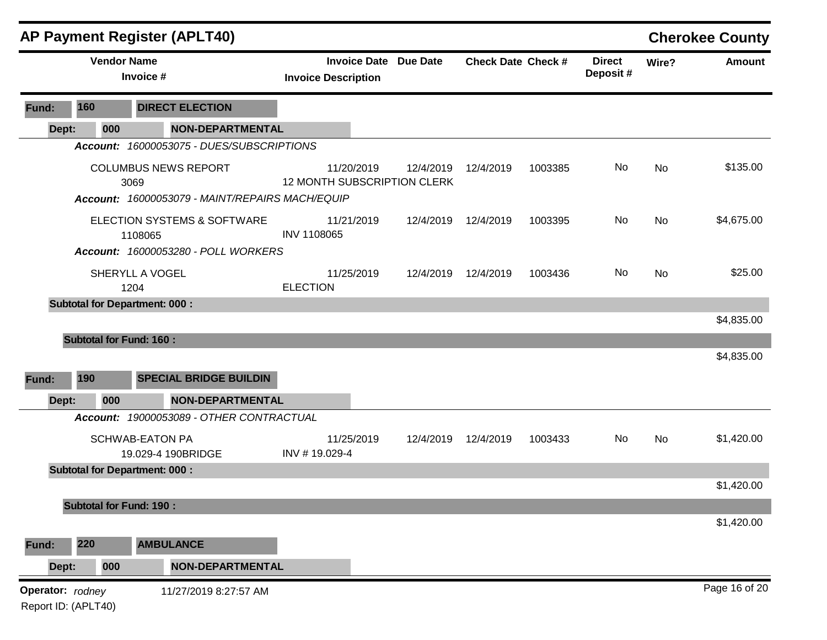|       |                                         | <b>AP Payment Register (APLT40)</b>                                                    |                                                            |           |                           |         |                           |           | <b>Cherokee County</b> |
|-------|-----------------------------------------|----------------------------------------------------------------------------------------|------------------------------------------------------------|-----------|---------------------------|---------|---------------------------|-----------|------------------------|
|       |                                         | <b>Vendor Name</b><br>Invoice #                                                        | <b>Invoice Date Due Date</b><br><b>Invoice Description</b> |           | <b>Check Date Check #</b> |         | <b>Direct</b><br>Deposit# | Wire?     | <b>Amount</b>          |
| Fund: | 160                                     | <b>DIRECT ELECTION</b>                                                                 |                                                            |           |                           |         |                           |           |                        |
|       | 000<br>Dept:                            | <b>NON-DEPARTMENTAL</b>                                                                |                                                            |           |                           |         |                           |           |                        |
|       |                                         | Account: 16000053075 - DUES/SUBSCRIPTIONS                                              |                                                            |           |                           |         |                           |           |                        |
|       |                                         | <b>COLUMBUS NEWS REPORT</b><br>3069<br>Account: 16000053079 - MAINT/REPAIRS MACH/EQUIP | 11/20/2019<br><b>12 MONTH SUBSCRIPTION CLERK</b>           | 12/4/2019 | 12/4/2019                 | 1003385 | No                        | <b>No</b> | \$135.00               |
|       |                                         | ELECTION SYSTEMS & SOFTWARE<br>1108065                                                 | 11/21/2019<br><b>INV 1108065</b>                           | 12/4/2019 | 12/4/2019                 | 1003395 | No                        | No        | \$4,675.00             |
|       |                                         | Account: 16000053280 - POLL WORKERS                                                    |                                                            |           |                           |         |                           |           |                        |
|       |                                         | SHERYLL A VOGEL<br>1204                                                                | 11/25/2019<br><b>ELECTION</b>                              | 12/4/2019 | 12/4/2019                 | 1003436 | No                        | <b>No</b> | \$25.00                |
|       |                                         | <b>Subtotal for Department: 000:</b>                                                   |                                                            |           |                           |         |                           |           |                        |
|       |                                         |                                                                                        |                                                            |           |                           |         |                           |           | \$4,835.00             |
|       |                                         | <b>Subtotal for Fund: 160:</b>                                                         |                                                            |           |                           |         |                           |           |                        |
|       |                                         |                                                                                        |                                                            |           |                           |         |                           |           | \$4,835.00             |
| Fund: | 190                                     | <b>SPECIAL BRIDGE BUILDIN</b>                                                          |                                                            |           |                           |         |                           |           |                        |
|       | Dept:<br>000                            | <b>NON-DEPARTMENTAL</b>                                                                |                                                            |           |                           |         |                           |           |                        |
|       |                                         | Account: 19000053089 - OTHER CONTRACTUAL                                               |                                                            |           |                           |         |                           |           |                        |
|       |                                         | <b>SCHWAB-EATON PA</b><br>19.029-4 190BRIDGE                                           | 11/25/2019<br>INV #19.029-4                                |           | 12/4/2019 12/4/2019       | 1003433 | No                        | No        | \$1,420.00             |
|       |                                         | <b>Subtotal for Department: 000:</b>                                                   |                                                            |           |                           |         |                           |           |                        |
|       |                                         |                                                                                        |                                                            |           |                           |         |                           |           | \$1,420.00             |
|       |                                         | <b>Subtotal for Fund: 190:</b>                                                         |                                                            |           |                           |         |                           |           | \$1,420.00             |
| Fund: | 220                                     | <b>AMBULANCE</b>                                                                       |                                                            |           |                           |         |                           |           |                        |
|       | Dept:<br>000                            | <b>NON-DEPARTMENTAL</b>                                                                |                                                            |           |                           |         |                           |           |                        |
|       | Operator: rodney<br>Report ID: (APLT40) | 11/27/2019 8:27:57 AM                                                                  |                                                            |           |                           |         |                           |           | Page 16 of 20          |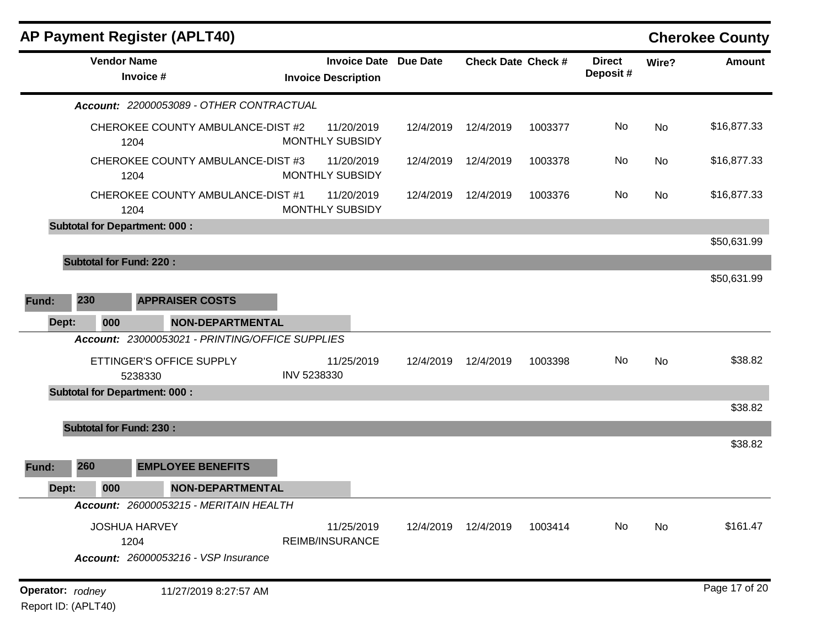|                                         | <b>AP Payment Register (APLT40)</b>             |                                                   |                 |                           |         |                           |       | <b>Cherokee County</b> |
|-----------------------------------------|-------------------------------------------------|---------------------------------------------------|-----------------|---------------------------|---------|---------------------------|-------|------------------------|
|                                         | <b>Vendor Name</b><br>Invoice #                 | <b>Invoice Date</b><br><b>Invoice Description</b> | <b>Due Date</b> | <b>Check Date Check #</b> |         | <b>Direct</b><br>Deposit# | Wire? | <b>Amount</b>          |
|                                         | Account: 22000053089 - OTHER CONTRACTUAL        |                                                   |                 |                           |         |                           |       |                        |
|                                         | CHEROKEE COUNTY AMBULANCE-DIST #2<br>1204       | 11/20/2019<br>MONTHLY SUBSIDY                     | 12/4/2019       | 12/4/2019                 | 1003377 | No                        | No    | \$16,877.33            |
|                                         | CHEROKEE COUNTY AMBULANCE-DIST #3<br>1204       | 11/20/2019<br><b>MONTHLY SUBSIDY</b>              | 12/4/2019       | 12/4/2019                 | 1003378 | No                        | No    | \$16,877.33            |
|                                         | CHEROKEE COUNTY AMBULANCE-DIST #1<br>1204       | 11/20/2019<br>MONTHLY SUBSIDY                     | 12/4/2019       | 12/4/2019                 | 1003376 | No                        | No    | \$16,877.33            |
|                                         | <b>Subtotal for Department: 000:</b>            |                                                   |                 |                           |         |                           |       |                        |
|                                         |                                                 |                                                   |                 |                           |         |                           |       | \$50,631.99            |
|                                         | <b>Subtotal for Fund: 220:</b>                  |                                                   |                 |                           |         |                           |       |                        |
|                                         |                                                 |                                                   |                 |                           |         |                           |       | \$50,631.99            |
| 230<br>Fund:                            | <b>APPRAISER COSTS</b>                          |                                                   |                 |                           |         |                           |       |                        |
| 000<br>Dept:                            | <b>NON-DEPARTMENTAL</b>                         |                                                   |                 |                           |         |                           |       |                        |
|                                         | Account: 23000053021 - PRINTING/OFFICE SUPPLIES |                                                   |                 |                           |         |                           |       |                        |
|                                         | ETTINGER'S OFFICE SUPPLY<br>5238330             | 11/25/2019<br>INV 5238330                         | 12/4/2019       | 12/4/2019                 | 1003398 | No                        | No    | \$38.82                |
|                                         | <b>Subtotal for Department: 000:</b>            |                                                   |                 |                           |         |                           |       |                        |
|                                         |                                                 |                                                   |                 |                           |         |                           |       | \$38.82                |
|                                         | <b>Subtotal for Fund: 230:</b>                  |                                                   |                 |                           |         |                           |       |                        |
|                                         |                                                 |                                                   |                 |                           |         |                           |       | \$38.82                |
| 260<br>Fund:                            | <b>EMPLOYEE BENEFITS</b>                        |                                                   |                 |                           |         |                           |       |                        |
| 000<br>Dept:                            | <b>NON-DEPARTMENTAL</b>                         |                                                   |                 |                           |         |                           |       |                        |
|                                         | Account: 26000053215 - MERITAIN HEALTH          |                                                   |                 |                           |         |                           |       |                        |
|                                         | <b>JOSHUA HARVEY</b><br>1204                    | 11/25/2019<br><b>REIMB/INSURANCE</b>              | 12/4/2019       | 12/4/2019                 | 1003414 | No                        | No    | \$161.47               |
|                                         | <b>Account: 26000053216 - VSP Insurance</b>     |                                                   |                 |                           |         |                           |       |                        |
| Operator: rodney<br>Report ID: (APLT40) | 11/27/2019 8:27:57 AM                           |                                                   |                 |                           |         |                           |       | Page 17 of 20          |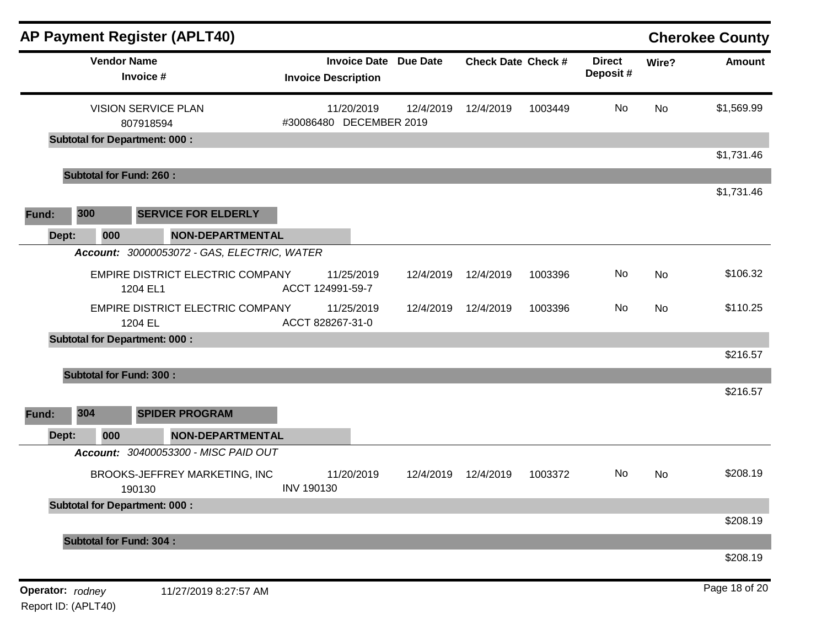| <b>AP Payment Register (APLT40)</b>          |                                                   |                 |                           |         |                           |       | <b>Cherokee County</b> |
|----------------------------------------------|---------------------------------------------------|-----------------|---------------------------|---------|---------------------------|-------|------------------------|
| <b>Vendor Name</b><br>Invoice #              | <b>Invoice Date</b><br><b>Invoice Description</b> | <b>Due Date</b> | <b>Check Date Check #</b> |         | <b>Direct</b><br>Deposit# | Wire? | Amount                 |
| <b>VISION SERVICE PLAN</b><br>807918594      | 11/20/2019<br>#30086480 DECEMBER 2019             | 12/4/2019       | 12/4/2019                 | 1003449 | No                        | No    | \$1,569.99             |
| <b>Subtotal for Department: 000:</b>         |                                                   |                 |                           |         |                           |       |                        |
| <b>Subtotal for Fund: 260:</b>               |                                                   |                 |                           |         |                           |       | \$1,731.46             |
| 300<br><b>SERVICE FOR ELDERLY</b><br>Fund:   |                                                   |                 |                           |         |                           |       | \$1,731.46             |
| 000<br><b>NON-DEPARTMENTAL</b><br>Dept:      |                                                   |                 |                           |         |                           |       |                        |
| Account: 30000053072 - GAS, ELECTRIC, WATER  |                                                   |                 |                           |         |                           |       |                        |
| EMPIRE DISTRICT ELECTRIC COMPANY<br>1204 EL1 | 11/25/2019<br>ACCT 124991-59-7                    | 12/4/2019       | 12/4/2019                 | 1003396 | No                        | No    | \$106.32               |
| EMPIRE DISTRICT ELECTRIC COMPANY<br>1204 EL  | 11/25/2019<br>ACCT 828267-31-0                    | 12/4/2019       | 12/4/2019                 | 1003396 | No                        | No    | \$110.25               |
| <b>Subtotal for Department: 000:</b>         |                                                   |                 |                           |         |                           |       | \$216.57               |
| <b>Subtotal for Fund: 300:</b>               |                                                   |                 |                           |         |                           |       |                        |
|                                              |                                                   |                 |                           |         |                           |       | \$216.57               |
| 304<br><b>SPIDER PROGRAM</b><br>Fund:        |                                                   |                 |                           |         |                           |       |                        |
| 000<br><b>NON-DEPARTMENTAL</b><br>Dept:      |                                                   |                 |                           |         |                           |       |                        |
| Account: 30400053300 - MISC PAID OUT         |                                                   |                 |                           |         |                           |       |                        |
| BROOKS-JEFFREY MARKETING, INC<br>190130      | 11/20/2019<br><b>INV 190130</b>                   | 12/4/2019       | 12/4/2019                 | 1003372 | No                        | No    | \$208.19               |
| <b>Subtotal for Department: 000:</b>         |                                                   |                 |                           |         |                           |       |                        |
|                                              |                                                   |                 |                           |         |                           |       | \$208.19               |
| <b>Subtotal for Fund: 304:</b>               |                                                   |                 |                           |         |                           |       | \$208.19               |
| Operator: rodney<br>11/27/2019 8:27:57 AM    |                                                   |                 |                           |         |                           |       | Page 18 of 20          |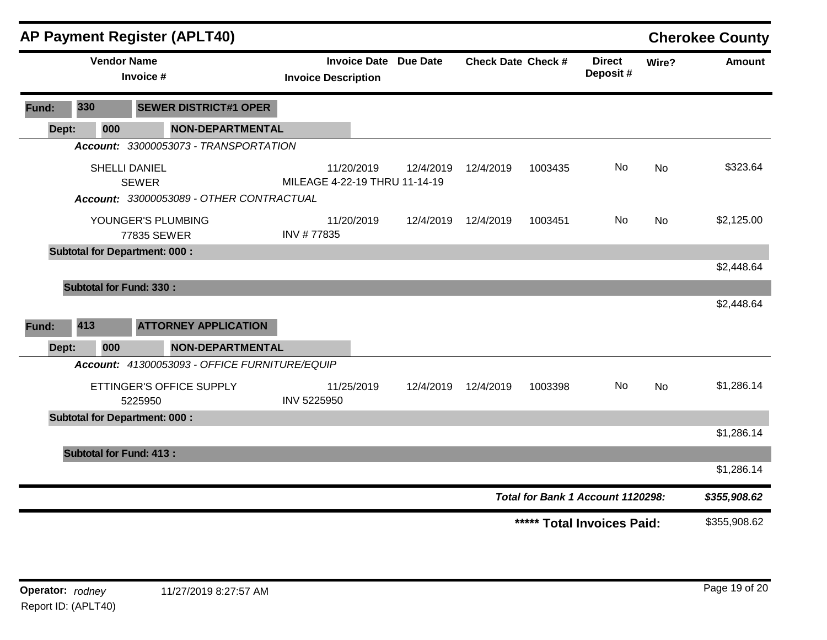|       |                                | <b>AP Payment Register (APLT40)</b>           |                                             |                              |           |                           |                                   |           | <b>Cherokee County</b> |
|-------|--------------------------------|-----------------------------------------------|---------------------------------------------|------------------------------|-----------|---------------------------|-----------------------------------|-----------|------------------------|
|       |                                | <b>Vendor Name</b><br>Invoice #               | <b>Invoice Description</b>                  | <b>Invoice Date Due Date</b> |           | <b>Check Date Check #</b> | <b>Direct</b><br>Deposit#         | Wire?     | <b>Amount</b>          |
| Fund: | 330                            | <b>SEWER DISTRICT#1 OPER</b>                  |                                             |                              |           |                           |                                   |           |                        |
| Dept: | 000                            | <b>NON-DEPARTMENTAL</b>                       |                                             |                              |           |                           |                                   |           |                        |
|       |                                | Account: 33000053073 - TRANSPORTATION         |                                             |                              |           |                           |                                   |           |                        |
|       |                                | <b>SHELLI DANIEL</b><br><b>SEWER</b>          | 11/20/2019<br>MILEAGE 4-22-19 THRU 11-14-19 | 12/4/2019                    | 12/4/2019 | 1003435                   | No                                | <b>No</b> | \$323.64               |
|       |                                | Account: 33000053089 - OTHER CONTRACTUAL      |                                             |                              |           |                           |                                   |           |                        |
|       |                                | YOUNGER'S PLUMBING<br>77835 SEWER             | 11/20/2019<br>INV #77835                    | 12/4/2019                    | 12/4/2019 | 1003451                   | No.                               | No        | \$2,125.00             |
|       |                                | <b>Subtotal for Department: 000:</b>          |                                             |                              |           |                           |                                   |           |                        |
|       |                                |                                               |                                             |                              |           |                           |                                   |           | \$2,448.64             |
|       | <b>Subtotal for Fund: 330:</b> |                                               |                                             |                              |           |                           |                                   |           |                        |
|       |                                |                                               |                                             |                              |           |                           |                                   |           | \$2,448.64             |
| Fund: | 413                            | <b>ATTORNEY APPLICATION</b>                   |                                             |                              |           |                           |                                   |           |                        |
| Dept: | 000                            | <b>NON-DEPARTMENTAL</b>                       |                                             |                              |           |                           |                                   |           |                        |
|       |                                | Account: 41300053093 - OFFICE FURNITURE/EQUIP |                                             |                              |           |                           |                                   |           |                        |
|       |                                | ETTINGER'S OFFICE SUPPLY<br>5225950           | 11/25/2019<br>INV 5225950                   | 12/4/2019                    | 12/4/2019 | 1003398                   | No.                               | <b>No</b> | \$1,286.14             |
|       |                                | <b>Subtotal for Department: 000:</b>          |                                             |                              |           |                           |                                   |           |                        |
|       |                                |                                               |                                             |                              |           |                           |                                   |           | \$1,286.14             |
|       | <b>Subtotal for Fund: 413:</b> |                                               |                                             |                              |           |                           |                                   |           |                        |
|       |                                |                                               |                                             |                              |           |                           |                                   |           | \$1,286.14             |
|       |                                |                                               |                                             |                              |           |                           | Total for Bank 1 Account 1120298: |           | \$355,908.62           |
|       |                                |                                               |                                             |                              |           |                           | ***** Total Invoices Paid:        |           | \$355,908.62           |